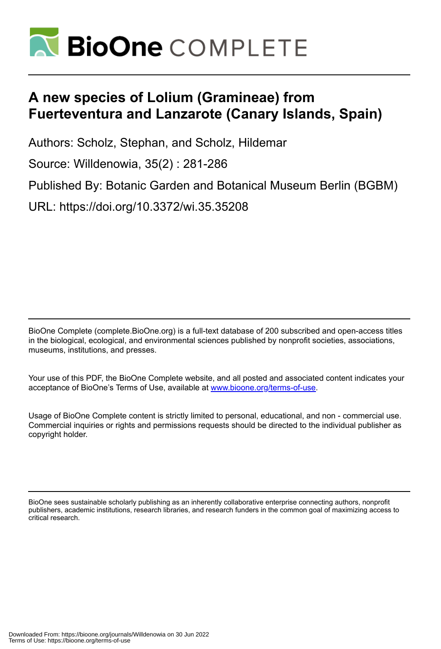

# **A new species of Lolium (Gramineae) from Fuerteventura and Lanzarote (Canary Islands, Spain)**

Authors: Scholz, Stephan, and Scholz, Hildemar

Source: Willdenowia, 35(2) : 281-286

Published By: Botanic Garden and Botanical Museum Berlin (BGBM)

URL: https://doi.org/10.3372/wi.35.35208

BioOne Complete (complete.BioOne.org) is a full-text database of 200 subscribed and open-access titles in the biological, ecological, and environmental sciences published by nonprofit societies, associations, museums, institutions, and presses.

Your use of this PDF, the BioOne Complete website, and all posted and associated content indicates your acceptance of BioOne's Terms of Use, available at www.bioone.org/terms-of-use.

Usage of BioOne Complete content is strictly limited to personal, educational, and non - commercial use. Commercial inquiries or rights and permissions requests should be directed to the individual publisher as copyright holder.

BioOne sees sustainable scholarly publishing as an inherently collaborative enterprise connecting authors, nonprofit publishers, academic institutions, research libraries, and research funders in the common goal of maximizing access to critical research.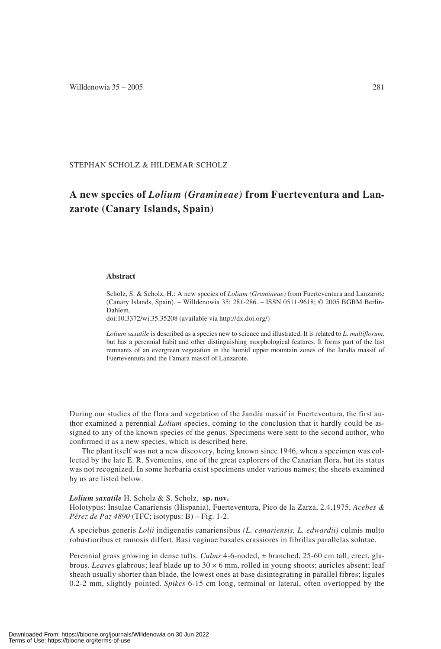STEPHAN SCHOLZ & HILDEMAR SCHOLZ

## **A new species of** *Lolium (Gramineae)* **from Fuerteventura and Lanzarote (Canary Islands, Spain)**

### **Abstract**

Scholz, S. & Scholz, H.: A new species of *Lolium (Gramineae)* from Fuerteventura and Lanzarote (Canary Islands, Spain). – Willdenowia 35: 281-286. – ISSN 0511-9618; © 2005 BGBM Berlin-Dahlem.

doi:10.3372/wi.35.35208 (available via http://dx.doi.org/)

*Lolium saxatile* is described as a species new to science and illustrated. It is related to *L. multiflorum,* but has a perennial habit and other distinguishing morphological features. It forms part of the last remnants of an evergreen vegetation in the humid upper mountain zones of the Jandía massif of Fuerteventura and the Famara massif of Lanzarote.

During our studies of the flora and vegetation of the Jandía massif in Fuerteventura, the first author examined a perennial *Lolium* species, coming to the conclusion that it hardly could be assigned to any of the known species of the genus. Specimens were sent to the second author, who confirmed it as a new species, which is described here.

The plant itself was not a new discovery, being known since 1946, when a specimen was collected by the late E. R. Sventenius, one of the great explorers of the Canarian flora, but its status was not recognized. In some herbaria exist specimens under various names; the sheets examined by us are listed below.

*Lolium saxatile* H. Scholz & S. Scholz, **sp. nov.** Holotypus: Insulae Canariensis (Hispania), Fuerteventura, Pico de la Zarza, 2.4.1975, *Acebes & Pérez de Paz 4890* (TFC; isotypus: B) – Fig. 1-2.

A speciebus generis *Lolii* indigenatis canariensibus *(L. canariensis, L. edwardii)* culmis multo robustioribus et ramosis differt. Basi vaginae basales crassiores in fibrillas parallelas solutae.

Perennial grass growing in dense tufts. *Culms* 4-6-noded, ± branched, 25-60 cm tall, erect, glabrous. *Leaves* glabrous; leaf blade up to 30 × 6 mm, rolled in young shoots; auricles absent; leaf sheath usually shorter than blade, the lowest ones at base disintegrating in parallel fibres; ligules 0.2-2 mm, slightly pointed. *Spikes* 6-15 cm long, terminal or lateral, often overtopped by the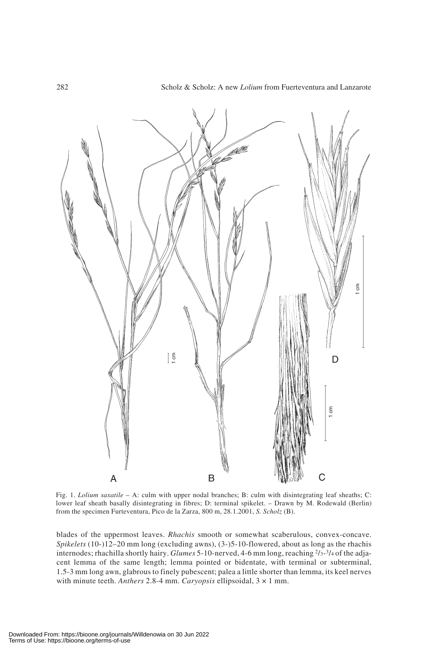

Fig. 1. *Lolium saxatile* – A: culm with upper nodal branches; B: culm with disintegrating leaf sheaths; C: lower leaf sheath basally disintegrating in fibres; D: terminal spikelet. – Drawn by M. Rodewald (Berlin) from the specimen Furteventura, Pico de la Zarza, 800 m, 28.1.2001, *S. Scholz* (B).

blades of the uppermost leaves. *Rhachis* smooth or somewhat scaberulous, convex-concave. *Spikelets* (10-)12–20 mm long (excluding awns), (3-)5-10-flowered, about as long as the rhachis internodes; rhachilla shortly hairy. *Glumes* 5-10-nerved, 4-6 mm long, reaching 2/3-3/4 of the adjacent lemma of the same length; lemma pointed or bidentate, with terminal or subterminal, 1.5-3 mm long awn, glabrous to finely pubescent; palea a little shorter than lemma, its keel nerves with minute teeth. *Anthers* 2.8-4 mm. *Caryopsis* ellipsoidal, 3 × 1 mm.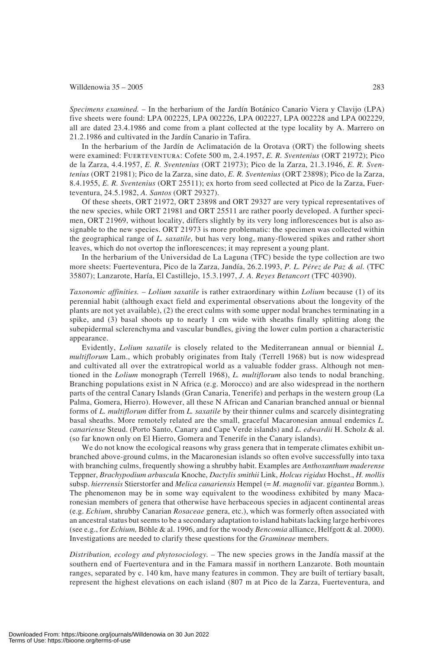#### Willdenowia  $35 - 2005$  283

*Specimens examined.* – In the herbarium of the Jardín Botánico Canario Viera y Clavijo (LPA) five sheets were found: LPA 002225, LPA 002226, LPA 002227, LPA 002228 and LPA 002229, all are dated 23.4.1986 and come from a plant collected at the type locality by A. Marrero on 21.2.1986 and cultivated in the Jardín Canario in Tafira.

In the herbarium of the Jardín de Aclimatación de la Orotava (ORT) the following sheets were examined: Fuerteventura: Cofete 500 m, 2.4.1957, *E. R. Sventenius* (ORT 21972); Pico de la Zarza, 4.4.1957, *E. R. Sventenius* (ORT 21973); Pico de la Zarza, 21.3.1946, *E. R. Sventenius* (ORT 21981); Pico de la Zarza, sine dato, *E. R. Sventenius* (ORT 23898); Pico de la Zarza, 8.4.1955, *E. R. Sventenius* (ORT 25511); ex horto from seed collected at Pico de la Zarza, Fuerteventura, 24.5.1982, *A. Santos* (ORT 29327).

Of these sheets, ORT 21972, ORT 23898 and ORT 29327 are very typical representatives of the new species, while ORT 21981 and ORT 25511 are rather poorly developed. A further specimen, ORT 21969, without locality, differs slightly by its very long inflorescences but is also assignable to the new species. ORT 21973 is more problematic: the specimen was collected within the geographical range of *L. saxatile,* but has very long, many-flowered spikes and rather short leaves, which do not overtop the inflorescences; it may represent a young plant.

In the herbarium of the Universidad de La Laguna (TFC) beside the type collection are two more sheets: Fuerteventura, Pico de la Zarza, Jandía, 26.2.1993, *P. L. Pérez de Paz & al.* (TFC 35807); Lanzarote, Haría, El Castillejo, 15.3.1997, *J. A. Reyes Betancort* (TFC 40390).

*Taxonomic affinities.* – *Lolium saxatile* is rather extraordinary within *Lolium* because (1) of its perennial habit (although exact field and experimental observations about the longevity of the plants are not yet available), (2) the erect culms with some upper nodal branches terminating in a spike, and (3) basal shoots up to nearly 1 cm wide with sheaths finally splitting along the subepidermal sclerenchyma and vascular bundles, giving the lower culm portion a characteristic appearance.

Evidently, *Lolium saxatile* is closely related to the Mediterranean annual or biennial *L. multiflorum* Lam., which probably originates from Italy (Terrell 1968) but is now widespread and cultivated all over the extratropical world as a valuable fodder grass. Although not mentioned in the *Lolium* monograph (Terrell 1968), *L. multiflorum* also tends to nodal branching. Branching populations exist in N Africa (e.g. Morocco) and are also widespread in the northern parts of the central Canary Islands (Gran Canaria, Tenerife) and perhaps in the western group (La Palma, Gomera, Hierro). However, all these N African and Canarian branched annual or biennal forms of *L. multiflorum* differ from *L. saxatile* by their thinner culms and scarcely disintegrating basal sheaths. More remotely related are the small, graceful Macaronesian annual endemics *L. canariense* Steud. (Porto Santo, Canary and Cape Verde islands) and *L. edwardii* H. Scholz & al. (so far known only on El Hierro, Gomera and Tenerife in the Canary islands).

We do not know the ecological reasons why grass genera that in temperate climates exhibit unbranched above-ground culms, in the Macaronesian islands so often evolve successfully into taxa with branching culms, frequently showing a shrubby habit. Examples are *Anthoxanthum maderense* Teppner, *Brachypodium arbuscula* Knoche, *Dactylis smithii* Link, *Holcus rigidus* Hochst., *H. mollis* subsp. *hierrensis* Stierstorfer and *Melica canariensis* Hempel (= *M. magnolii* var. g*igantea* Bornm.). The phenomenon may be in some way equivalent to the woodiness exhibited by many Macaronesian members of genera that otherwise have herbaceous species in adjacent continental areas (e.g. *Echium*, shrubby Canarian *Rosaceae* genera, etc.), which was formerly often associated with an ancestral status but seems to be a secondary adaptation to island habitats lacking large herbivores (see e.g., for *Echium,* Böhle & al. 1996, and for the woody *Bencomia* alliance, Helfgott & al. 2000). Investigations are needed to clarify these questions for the *Gramineae* members.

*Distribution, ecology and phytosociology. –* The new species grows in the Jandía massif at the southern end of Fuerteventura and in the Famara massif in northern Lanzarote. Both mountain ranges, separated by c. 140 km, have many features in common. They are built of tertiary basalt, represent the highest elevations on each island (807 m at Pico de la Zarza, Fuerteventura, and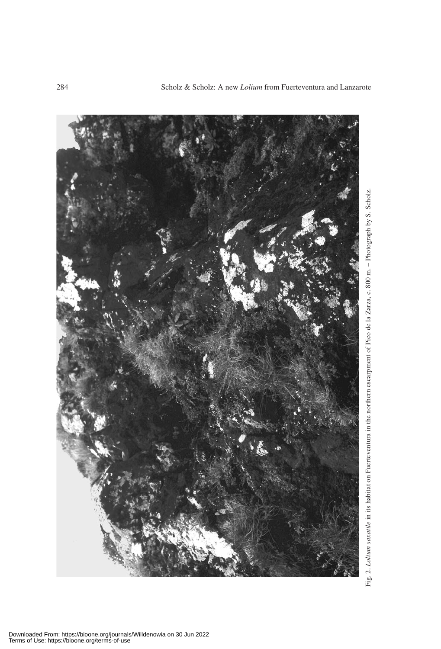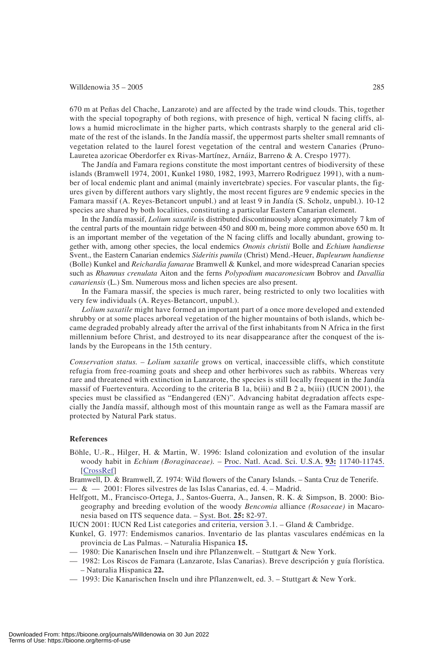#### Willdenowia  $35 - 2005$  285

670 m at Peñas del Chache, Lanzarote) and are affected by the trade wind clouds. This, together with the special topography of both regions, with presence of high, vertical N facing cliffs, allows a humid microclimate in the higher parts, which contrasts sharply to the general arid climate of the rest of the islands. In the Jandía massif, the uppermost parts shelter small remnants of vegetation related to the laurel forest vegetation of the central and western Canaries (Pruno-Lauretea azoricae Oberdorfer ex Rivas-Martínez, Arnáiz, Barreno & A. Crespo 1977).

The Jandía and Famara regions constitute the most important centres of biodiversity of these islands (Bramwell 1974, 2001, Kunkel 1980, 1982, 1993, Marrero Rodriguez 1991), with a number of local endemic plant and animal (mainly invertebrate) species. For vascular plants, the figures given by different authors vary slightly, the most recent figures are 9 endemic species in the Famara massif (A. Reyes-Betancort unpubl.) and at least 9 in Jandía (S. Scholz, unpubl.). 10-12 species are shared by both localities, constituting a particular Eastern Canarian element.

In the Jandía massif, *Lolium saxatile* is distributed discontinuously along approximately 7 km of the central parts of the mountain ridge between 450 and 800 m, being more common above 650 m. It is an important member of the vegetation of the N facing cliffs and locally abundant, growing together with, among other species, the local endemics *Ononis christii* Bolle and *Echium handiense* Svent., the Eastern Canarian endemics *Sideritis pumila* (Christ) Mend.-Heuer, *Bupleurum handiense* (Bolle) Kunkel and *Reichardia famarae* Bramwell & Kunkel, and more widespread Canarian species such as *Rhamnus crenulata* Aiton and the ferns *Polypodium macaronesicum* Bobrov and *Davallia canariensis* (L.) Sm. Numerous moss and lichen species are also present.

In the Famara massif, the species is much rarer, being restricted to only two localities with very few individuals (A. Reyes-Betancort, unpubl.).

*Lolium saxatile* might have formed an important part of a once more developed and extended shrubby or at some places arboreal vegetation of the higher mountains of both islands, which became degraded probably already after the arrival of the first inhabitants from N Africa in the first millennium before Christ, and destroyed to its near disappearance after the conquest of the islands by the Europeans in the 15th century.

*Conservation status. – Lolium saxatile* grows on vertical, inaccessible cliffs, which constitute refugia from free-roaming goats and sheep and other herbivores such as rabbits. Whereas very rare and threatened with extinction in Lanzarote, the species is still locally frequent in the Jandía massif of Fuerteventura. According to the criteria B 1a, b(iii) and B 2 a, b(iii) (IUCN 2001), the species must be classified as "Endangered (EN)". Advancing habitat degradation affects especially the Jandía massif, although most of this mountain range as well as the Famara massif are protected by Natural Park status.

#### **References**

- Böhle, U.-R., Hilger, H. & Martin, W. 1996: Island colonization and evolution of the insular woody habit in *Echium (Boraginaceae).* – Proc. Natl. Acad. Sci. U.S.A. **93:** 11740-11745. [CrossRef]
- Bramwell, D. & Bramwell, Z. 1974: Wild flowers of the Canary Islands. Santa Cruz de Tenerife.  $\alpha = \alpha - 2001$ : Flores silvestres de las Islas Canarias, ed. 4. – Madrid.
- Helfgott, M., Francisco-Ortega, J., Santos-Guerra, A., Jansen, R. K. & Simpson, B. 2000: Biogeography and breeding evolution of the woody *Bencomia* alliance *(Rosaceae)* in Macaronesia based on ITS sequence data. – Syst. Bot. **25:** 82-97.
- IUCN 2001: IUCN Red List categories and criteria, version 3.1. Gland & Cambridge.
- Kunkel, G. 1977: Endemismos canarios. Inventario de las plantas vasculares endémicas en la provincia de Las Palmas. – Naturalia Hispanica **15.**
- 1980: Die Kanarischen Inseln und ihre Pflanzenwelt. Stuttgart & New York.
- 1982: Los Riscos de Famara (Lanzarote, Islas Canarias). Breve descripción y guía florística. – Naturalia Hispanica **22.**
- 1993: Die Kanarischen Inseln und ihre Pflanzenwelt, ed. 3. Stuttgart & New York.